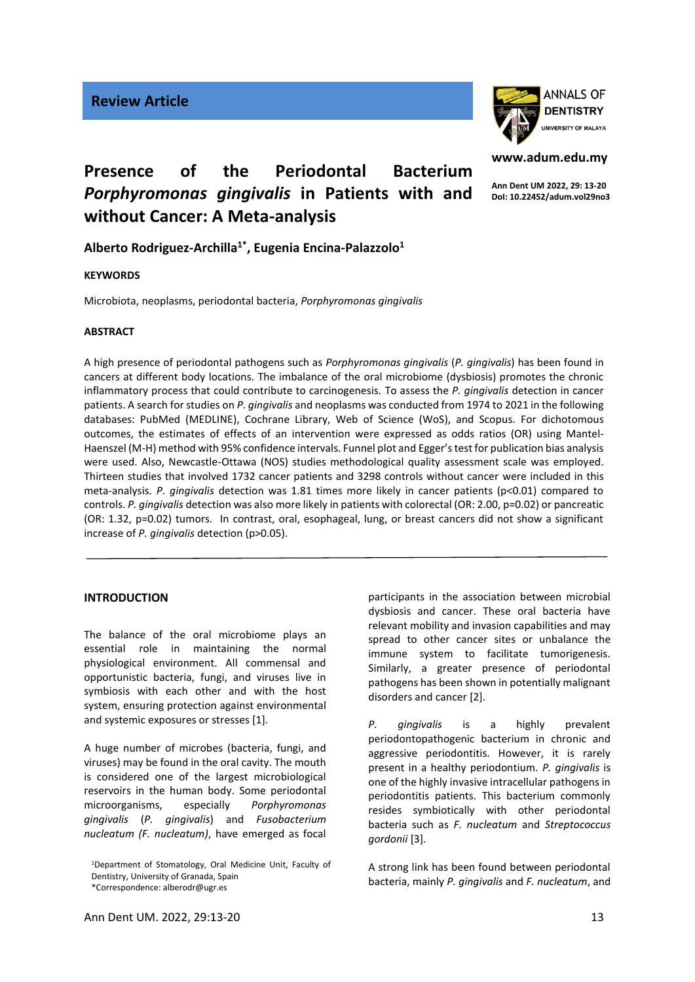

# **www.adum.edu.my**

**Ann Dent UM 2022, 29: 13-20 DoI: 10.22452/adum.vol29no3**

## **Presence of the Periodontal Bacterium**  *Porphyromonas gingivalis* **in Patients with and without Cancer: A Meta-analysis**

**Alberto Rodriguez-Archilla1\* , Eugenia Encina-Palazzolo<sup>1</sup>**

## **KEYWORDS**

Microbiota, neoplasms, periodontal bacteria, *Porphyromonas gingivalis*

## **ABSTRACT**

A high presence of periodontal pathogens such as *Porphyromonas gingivalis* (*P. gingivalis*) has been found in cancers at different body locations. The imbalance of the oral microbiome (dysbiosis) promotes the chronic inflammatory process that could contribute to carcinogenesis. To assess the *P. gingivalis* detection in cancer patients. A search for studies on *P. gingivalis* and neoplasms was conducted from 1974 to 2021 in the following databases: PubMed (MEDLINE), Cochrane Library, Web of Science (WoS), and Scopus. For dichotomous outcomes, the estimates of effects of an intervention were expressed as odds ratios (OR) using Mantel-Haenszel (M-H) method with 95% confidence intervals. Funnel plot and Egger's test for publication bias analysis were used. Also, Newcastle-Ottawa (NOS) studies methodological quality assessment scale was employed. Thirteen studies that involved 1732 cancer patients and 3298 controls without cancer were included in this meta-analysis. *P. gingivalis* detection was 1.81 times more likely in cancer patients (p<0.01) compared to controls. *P. gingivalis* detection was also more likely in patients with colorectal (OR: 2.00, p=0.02) or pancreatic (OR: 1.32, p=0.02) tumors. In contrast, oral, esophageal, lung, or breast cancers did not show a significant increase of *P. gingivalis* detection (p>0.05).

## **INTRODUCTION**

The balance of the oral microbiome plays an essential role in maintaining the normal physiological environment. All commensal and opportunistic bacteria, fungi, and viruses live in symbiosis with each other and with the host system, ensuring protection against environmental and systemic exposures or stresses [1].

A huge number of microbes (bacteria, fungi, and viruses) may be found in the oral cavity. The mouth is considered one of the largest microbiological reservoirs in the human body. Some periodontal microorganisms, especially *Porphyromonas gingivalis* (*P. gingivalis*) and *Fusobacterium nucleatum (F. nucleatum)*, have emerged as focal

\*Correspondence: alberodr@ugr.es

participants in the association between microbial dysbiosis and cancer. These oral bacteria have relevant mobility and invasion capabilities and may spread to other cancer sites or unbalance the immune system to facilitate tumorigenesis. Similarly, a greater presence of periodontal pathogens has been shown in potentially malignant disorders and cancer [2].

*P. gingivalis* is a highly prevalent periodontopathogenic bacterium in chronic and aggressive periodontitis. However, it is rarely present in a healthy periodontium. *P. gingivalis* is one of the highly invasive intracellular pathogens in periodontitis patients. This bacterium commonly resides symbiotically with other periodontal bacteria such as *F. nucleatum* and *Streptococcus gordonii* [3].

A strong link has been found between periodontal bacteria, mainly *P. gingivalis* and *F. nucleatum*, and

<sup>1</sup>Department of Stomatology, Oral Medicine Unit, Faculty of Dentistry, University of Granada, Spain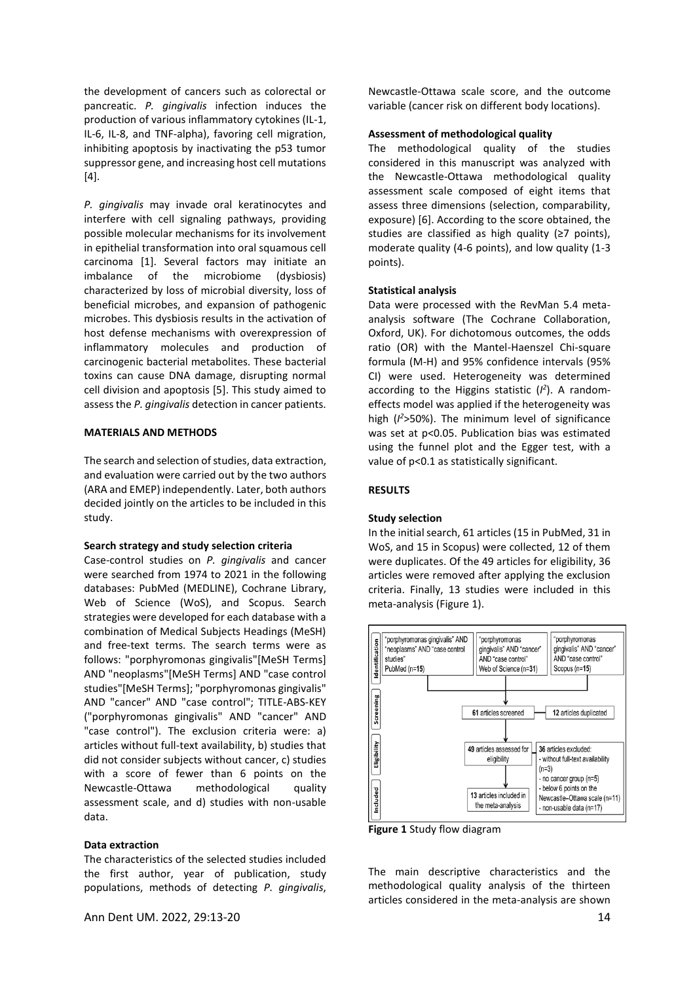the development of cancers such as colorectal or pancreatic. *P. gingivalis* infection induces the production of various inflammatory cytokines (IL-1, IL-6, IL-8, and TNF-alpha), favoring cell migration, inhibiting apoptosis by inactivating the p53 tumor suppressor gene, and increasing host cell mutations  $[4]$ .

*P. gingivalis* may invade oral keratinocytes and interfere with cell signaling pathways, providing possible molecular mechanisms for its involvement in epithelial transformation into oral squamous cell carcinoma [1]. Several factors may initiate an imbalance of the microbiome (dysbiosis) characterized by loss of microbial diversity, loss of beneficial microbes, and expansion of pathogenic microbes. This dysbiosis results in the activation of host defense mechanisms with overexpression of inflammatory molecules and production of carcinogenic bacterial metabolites. These bacterial toxins can cause DNA damage, disrupting normal cell division and apoptosis [5]. This study aimed to assess the *P. gingivalis* detection in cancer patients.

### **MATERIALS AND METHODS**

The search and selection of studies, data extraction, and evaluation were carried out by the two authors (ARA and EMEP) independently. Later, both authors decided jointly on the articles to be included in this study.

#### **Search strategy and study selection criteria**

Case-control studies on *P. gingivalis* and cancer were searched from 1974 to 2021 in the following databases: PubMed (MEDLINE), Cochrane Library, Web of Science (WoS), and Scopus. Search strategies were developed for each database with a combination of Medical Subjects Headings (MeSH) and free-text terms. The search terms were as follows: "porphyromonas gingivalis"[MeSH Terms] AND "neoplasms"[MeSH Terms] AND "case control studies"[MeSH Terms]; "porphyromonas gingivalis" AND "cancer" AND "case control"; TITLE-ABS-KEY ("porphyromonas gingivalis" AND "cancer" AND "case control"). The exclusion criteria were: a) articles without full-text availability, b) studies that did not consider subjects without cancer, c) studies with a score of fewer than 6 points on the Newcastle-Ottawa methodological quality assessment scale, and d) studies with non-usable data.

## **Data extraction**

The characteristics of the selected studies included the first author, year of publication, study populations, methods of detecting *P. gingivalis*,

Newcastle-Ottawa scale score, and the outcome variable (cancer risk on different body locations).

#### **Assessment of methodological quality**

The methodological quality of the studies considered in this manuscript was analyzed with the Newcastle-Ottawa methodological quality assessment scale composed of eight items that assess three dimensions (selection, comparability, exposure) [6]. According to the score obtained, the studies are classified as high quality (≥7 points), moderate quality (4-6 points), and low quality (1-3 points).

#### **Statistical analysis**

Data were processed with the RevMan 5.4 metaanalysis software (The Cochrane Collaboration, Oxford, UK). For dichotomous outcomes, the odds ratio (OR) with the Mantel-Haenszel Chi-square formula (M-H) and 95% confidence intervals (95% CI) were used. Heterogeneity was determined according to the Higgins statistic (*I 2* ). A randomeffects model was applied if the heterogeneity was high (*I <sup>2</sup>*>50%). The minimum level of significance was set at p<0.05. Publication bias was estimated using the funnel plot and the Egger test, with a value of p<0.1 as statistically significant.

#### **RESULTS**

#### **Study selection**

In the initial search, 61 articles (15 in PubMed, 31 in WoS, and 15 in Scopus) were collected, 12 of them were duplicates. Of the 49 articles for eligibility, 36 articles were removed after applying the exclusion criteria. Finally, 13 studies were included in this meta-analysis (Figure 1).



**Figure 1** Study flow diagram

The main descriptive characteristics and the methodological quality analysis of the thirteen articles considered in the meta-analysis are shown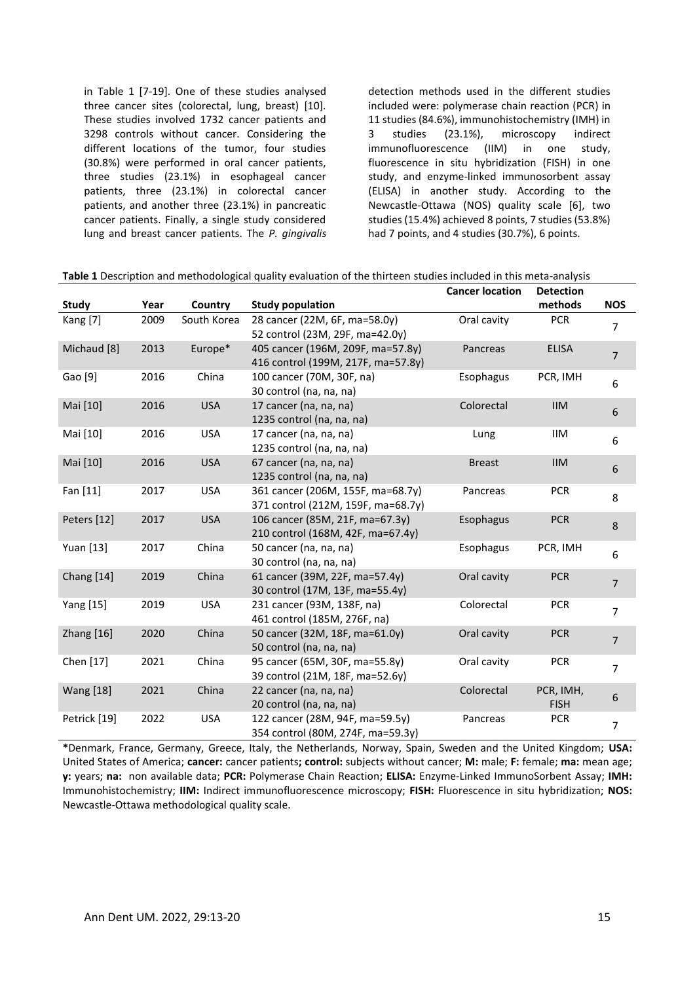in Table 1 [7-19]. One of these studies analysed three cancer sites (colorectal, lung, breast) [10]. These studies involved 1732 cancer patients and 3298 controls without cancer. Considering the different locations of the tumor, four studies (30.8%) were performed in oral cancer patients, three studies (23.1%) in esophageal cancer patients, three (23.1%) in colorectal cancer patients, and another three (23.1%) in pancreatic cancer patients. Finally, a single study considered lung and breast cancer patients. The *P. gingivalis*

detection methods used in the different studies included were: polymerase chain reaction (PCR) in 11 studies (84.6%), immunohistochemistry (IMH) in 3 studies (23.1%), microscopy indirect immunofluorescence (IIM) in one study, fluorescence in situ hybridization (FISH) in one study, and enzyme-linked immunosorbent assay (ELISA) in another study. According to the Newcastle-Ottawa (NOS) quality scale [6], two studies (15.4%) achieved 8 points, 7 studies (53.8%) had 7 points, and 4 studies (30.7%), 6 points.

|                  |      |             |                                    | <b>Cancer location</b> | <b>Detection</b> |                |
|------------------|------|-------------|------------------------------------|------------------------|------------------|----------------|
| Study            | Year | Country     | <b>Study population</b>            |                        | methods          | <b>NOS</b>     |
| Kang [7]         | 2009 | South Korea | 28 cancer (22M, 6F, ma=58.0y)      | Oral cavity            | <b>PCR</b>       | $\overline{7}$ |
|                  |      |             | 52 control (23M, 29F, ma=42.0y)    |                        |                  |                |
| Michaud [8]      | 2013 | Europe*     | 405 cancer (196M, 209F, ma=57.8y)  | Pancreas               | <b>ELISA</b>     | $\overline{7}$ |
|                  |      |             | 416 control (199M, 217F, ma=57.8y) |                        |                  |                |
| Gao [9]          | 2016 | China       | 100 cancer (70M, 30F, na)          | Esophagus              | PCR, IMH         | 6              |
|                  |      |             | 30 control (na, na, na)            |                        |                  |                |
| Mai [10]         | 2016 | <b>USA</b>  | 17 cancer (na, na, na)             | Colorectal             | <b>IIM</b>       | 6              |
|                  |      |             | 1235 control (na, na, na)          |                        |                  |                |
| Mai [10]         | 2016 | <b>USA</b>  | 17 cancer (na, na, na)             | Lung                   | IIM              | 6              |
|                  |      |             | 1235 control (na, na, na)          |                        |                  |                |
| Mai [10]         | 2016 | <b>USA</b>  | 67 cancer (na, na, na)             | <b>Breast</b>          | <b>IIM</b>       | 6              |
|                  |      |             | 1235 control (na, na, na)          |                        |                  |                |
| Fan [11]         | 2017 | <b>USA</b>  | 361 cancer (206M, 155F, ma=68.7y)  | Pancreas               | <b>PCR</b>       | 8              |
|                  |      |             | 371 control (212M, 159F, ma=68.7y) |                        |                  |                |
| Peters [12]      | 2017 | <b>USA</b>  | 106 cancer (85M, 21F, ma=67.3y)    | Esophagus              | <b>PCR</b>       | 8              |
|                  |      |             | 210 control (168M, 42F, ma=67.4y)  |                        |                  |                |
| Yuan [13]        | 2017 | China       | 50 cancer (na, na, na)             | Esophagus              | PCR, IMH         | 6              |
|                  |      |             | 30 control (na, na, na)            |                        |                  |                |
| Chang [14]       | 2019 | China       | 61 cancer (39M, 22F, ma=57.4y)     | Oral cavity            | <b>PCR</b>       | $\overline{7}$ |
|                  |      |             | 30 control (17M, 13F, ma=55.4y)    |                        |                  |                |
| Yang [15]        | 2019 | <b>USA</b>  | 231 cancer (93M, 138F, na)         | Colorectal             | <b>PCR</b>       | $\overline{7}$ |
|                  |      |             | 461 control (185M, 276F, na)       |                        |                  |                |
| Zhang [16]       | 2020 | China       | 50 cancer (32M, 18F, ma=61.0y)     | Oral cavity            | <b>PCR</b>       | $\overline{7}$ |
|                  |      |             | 50 control (na, na, na)            |                        |                  |                |
| Chen [17]        | 2021 | China       | 95 cancer (65M, 30F, ma=55.8y)     | Oral cavity            | <b>PCR</b>       | $\overline{7}$ |
|                  |      |             | 39 control (21M, 18F, ma=52.6y)    |                        |                  |                |
| <b>Wang</b> [18] | 2021 | China       | 22 cancer (na, na, na)             | Colorectal             | PCR, IMH,        | 6              |
|                  |      |             | 20 control (na, na, na)            |                        | <b>FISH</b>      |                |
| Petrick [19]     | 2022 | <b>USA</b>  | 122 cancer (28M, 94F, ma=59.5y)    | Pancreas               | <b>PCR</b>       | $\overline{7}$ |
|                  |      |             | 354 control (80M, 274F, ma=59.3y)  |                        |                  |                |

**\***Denmark, France, Germany, Greece, Italy, the Netherlands, Norway, Spain, Sweden and the United Kingdom; **USA:**  United States of America; **cancer:** cancer patients**; control:** subjects without cancer; **M:** male; **F:** female; **ma:** mean age; **y:** years; **na:** non available data; **PCR:** Polymerase Chain Reaction; **ELISA:** Enzyme-Linked ImmunoSorbent Assay; **IMH:** Immunohistochemistry; **IIM:** Indirect immunofluorescence microscopy; **FISH:** Fluorescence in situ hybridization; **NOS:**  Newcastle-Ottawa methodological quality scale.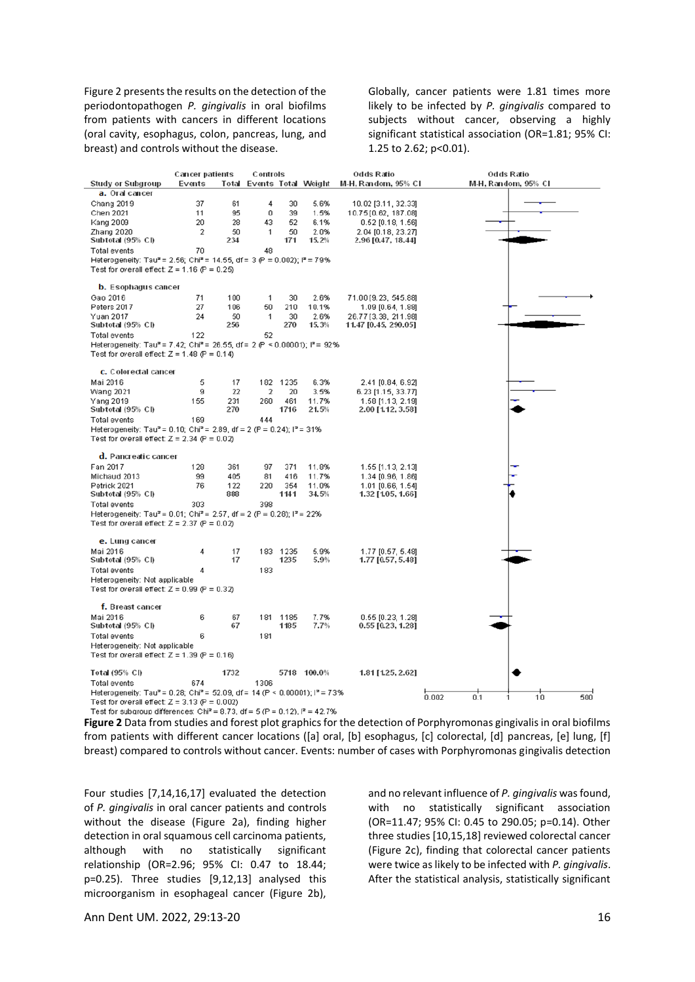Figure 2 presents the results on the detection of the periodontopathogen *P. gingivalis* in oral biofilms from patients with cancers in different locations (oral cavity, esophagus, colon, pancreas, lung, and breast) and controls without the disease.

Globally, cancer patients were 1.81 times more likely to be infected by *P. gingivalis* compared to subjects without cancer, observing a highly significant statistical association (OR=1.81; 95% CI: 1.25 to 2.62; p<0.01).

|                                                                                                                                              | <b>Cancer patients</b> |      | Controls                  |          | Odds Ratio  |                      | Odds Ratio                |  |  |  |  |  |
|----------------------------------------------------------------------------------------------------------------------------------------------|------------------------|------|---------------------------|----------|-------------|----------------------|---------------------------|--|--|--|--|--|
| <b>Study or Subgroup</b>                                                                                                                     | Events                 |      | Total Events Total Weight |          |             | M-H, Random, 95% Cl  | M-H, Random, 95% CI       |  |  |  |  |  |
| a. Oral cancer                                                                                                                               |                        |      |                           |          |             |                      |                           |  |  |  |  |  |
| Chang 2019                                                                                                                                   | 37                     | 61   | 4                         | 30       | 5.6%        | 10.02 [3.11, 32.33]  |                           |  |  |  |  |  |
| Chen 2021                                                                                                                                    | 11                     | 95   | 0                         | 39       | 1.5%        | 10.75 [0.62, 187.08] |                           |  |  |  |  |  |
| Kang 2009                                                                                                                                    | 20                     | 28   | 43                        | 52       | 6.1%        | $0.52$ [0.18, 1.56]  |                           |  |  |  |  |  |
| Zhang 2020                                                                                                                                   | 2                      | 50   | 1                         | 50       | 2.0%        | 2.04 [0.18, 23.27]   |                           |  |  |  |  |  |
| Subtotal (95% CI)                                                                                                                            | 70                     | 234  |                           | 171      | 15.2%       | 2.96 [0.47, 18.44]   |                           |  |  |  |  |  |
| Total events                                                                                                                                 |                        | 48   |                           |          |             |                      |                           |  |  |  |  |  |
| Heterogeneity: Tau <sup>2</sup> = 2.56; Chi <sup>2</sup> = 14.55, df = 3 (P = 0.002); l <sup>2</sup> = 79%                                   |                        |      |                           |          |             |                      |                           |  |  |  |  |  |
| Test for overall effect: $Z = 1.16$ (P = 0.25)                                                                                               |                        |      |                           |          |             |                      |                           |  |  |  |  |  |
| <b>b.</b> Esophagus cancer                                                                                                                   |                        |      |                           |          |             |                      |                           |  |  |  |  |  |
| Gao 2016                                                                                                                                     | 71                     | 100  | 1                         | 30       | 2.6%        | 71.00 [9.23, 545.88] |                           |  |  |  |  |  |
| Peters 2017                                                                                                                                  | 27                     | 106  | 50                        | 210      | 10.1%       | 1.09 [0.64, 1.88]    |                           |  |  |  |  |  |
| Yuan 2017                                                                                                                                    | 24                     | 50   | 1                         | 30       | 2.6%        | 26.77 [3.38, 211.98] |                           |  |  |  |  |  |
| Subtotal (95% CI)                                                                                                                            |                        | 256  |                           | 270      | 15.3%       | 11.47 [0.45, 290.05] |                           |  |  |  |  |  |
| Total events                                                                                                                                 | 122                    |      | 52                        |          |             |                      |                           |  |  |  |  |  |
| Heterogeneity: Tau <sup>2</sup> = 7.42; Chi <sup>2</sup> = 26.55, df = 2 (P < 0.00001); $P = 92\%$                                           |                        |      |                           |          |             |                      |                           |  |  |  |  |  |
| Test for overall effect: $Z = 1.48$ (P = 0.14)                                                                                               |                        |      |                           |          |             |                      |                           |  |  |  |  |  |
| c. Colorectal cancer                                                                                                                         |                        |      |                           |          |             |                      |                           |  |  |  |  |  |
| Mai 2016                                                                                                                                     | 5                      | 17   | 182                       | 1235     | 6.3%        | 2.41 [0.84, 6.92]    |                           |  |  |  |  |  |
| <b>Wang 2021</b>                                                                                                                             | g.                     | 22   | $\overline{2}$            | 20       | 3.5%        | 6.23 [1.15, 33.77]   |                           |  |  |  |  |  |
| Yang 2019                                                                                                                                    | 155                    | 231  | 260                       | 461      | 11.7%       | 1.58 [1.13, 2.19]    |                           |  |  |  |  |  |
| Subtotal (95% CI)                                                                                                                            |                        | 270  |                           | 1716     | 21.5%       | 2.00 [1.12, 3.58]    |                           |  |  |  |  |  |
| Total events                                                                                                                                 | 169                    |      | 444                       |          |             |                      |                           |  |  |  |  |  |
| Heterogeneity: Tau <sup>2</sup> = 0.10; Chi <sup>2</sup> = 2.89, df = 2 (P = 0.24); $I^2$ = 31%                                              |                        |      |                           |          |             |                      |                           |  |  |  |  |  |
| Test for overall effect: $Z = 2.34$ (P = 0.02)                                                                                               |                        |      |                           |          |             |                      |                           |  |  |  |  |  |
| d. Pancreatic cancer                                                                                                                         |                        |      |                           |          |             |                      |                           |  |  |  |  |  |
| Fan 2017                                                                                                                                     | 128                    | 361  | 97                        | 371      | 11.8%       | 1.55 [1.13, 2.13]    |                           |  |  |  |  |  |
| Michaud 2013                                                                                                                                 | 99                     | 405  | 81                        | 416      | 11.7%       | 1.34 [0.96, 1.86]    |                           |  |  |  |  |  |
| Petrick 2021                                                                                                                                 | 76                     | 122  | 220                       | 354      | 11.0%       | 1.01 [0.66, 1.54]    |                           |  |  |  |  |  |
| Subtotal (95% CI)                                                                                                                            |                        | 888  |                           | 1141     | 34.5%       | 1.32 [1.05, 1.66]    |                           |  |  |  |  |  |
| Total events                                                                                                                                 | 303                    |      | 398                       |          |             |                      |                           |  |  |  |  |  |
| Heterogeneity: Tau <sup>2</sup> = 0.01; Chi <sup>2</sup> = 2.57, df = 2 (P = 0.28); l <sup>2</sup> = 22%                                     |                        |      |                           |          |             |                      |                           |  |  |  |  |  |
| Test for overall effect: $Z = 2.37$ (P = 0.02)                                                                                               |                        |      |                           |          |             |                      |                           |  |  |  |  |  |
| e. Lung cancer                                                                                                                               |                        |      |                           |          |             |                      |                           |  |  |  |  |  |
| Mai 2016                                                                                                                                     | 4                      | 17   |                           | 183 1235 | 5.9%        | 1.77 [0.57, 5.48]    |                           |  |  |  |  |  |
| Subtotal (95% CI)                                                                                                                            |                        | 17   |                           | 1235     | 5.9%        | 1.77 [0.57, 5.48]    |                           |  |  |  |  |  |
| Total events                                                                                                                                 | 4                      |      | 183                       |          |             |                      |                           |  |  |  |  |  |
| Heterogeneity: Not applicable                                                                                                                |                        |      |                           |          |             |                      |                           |  |  |  |  |  |
| Test for overall effect: $Z = 0.99$ (P = 0.32)                                                                                               |                        |      |                           |          |             |                      |                           |  |  |  |  |  |
| f. Breast cancer                                                                                                                             |                        |      |                           |          |             |                      |                           |  |  |  |  |  |
| Mai 2016                                                                                                                                     | 6                      | 67   | 181                       | 1185     | 7.7%        | 0.55 [0.23, 1.28]    |                           |  |  |  |  |  |
| Subtotal (95% CI)                                                                                                                            |                        | 67   |                           | 1185     | 7.7%        | 0.55 [0.23, 1.28]    |                           |  |  |  |  |  |
| Total events                                                                                                                                 | 6                      |      | 181                       |          |             |                      |                           |  |  |  |  |  |
| Heterogeneity: Not applicable                                                                                                                |                        |      |                           |          |             |                      |                           |  |  |  |  |  |
| Test for overall effect: $Z = 1.39$ (P = 0.16)                                                                                               |                        |      |                           |          |             |                      |                           |  |  |  |  |  |
|                                                                                                                                              |                        |      |                           |          |             |                      |                           |  |  |  |  |  |
| Total (95% CI)                                                                                                                               |                        | 1732 |                           |          | 5718 100.0% | 1.81 [1.25, 2.62]    |                           |  |  |  |  |  |
| Total events                                                                                                                                 | 674                    |      | 1306                      |          |             |                      |                           |  |  |  |  |  |
| Heterogeneity: Tau <sup>2</sup> = 0.28; Chi <sup>2</sup> = 52.09, df = 14 (P < 0.00001); l <sup>2</sup> = 73%                                |                        |      |                           |          |             |                      | 10<br>500<br>0.002<br>0.1 |  |  |  |  |  |
| Test for overall effect: $Z = 3.13$ (P = 0.002)<br>Test for subdroup differences: Chi <sup>2</sup> = 8.73, df = 5.(P = 0.12), $P = 42.7\%$ . |                        |      |                           |          |             |                      |                           |  |  |  |  |  |

**Figure 2** Data from studies and forest plot graphics for the detection of Porphyromonas gingivalis in oral biofilms from patients with different cancer locations ([a] oral, [b] esophagus, [c] colorectal, [d] pancreas, [e] lung, [f] breast) compared to controls without cancer. Events: number of cases with Porphyromonas gingivalis detection

Four studies [7,14,16,17] evaluated the detection of *P. gingivalis* in oral cancer patients and controls without the disease (Figure 2a), finding higher detection in oral squamous cell carcinoma patients, although with no statistically significant relationship (OR=2.96; 95% CI: 0.47 to 18.44; p=0.25). Three studies [9,12,13] analysed this microorganism in esophageal cancer (Figure 2b),

and no relevant influence of *P. gingivalis* was found, with no statistically significant association (OR=11.47; 95% CI: 0.45 to 290.05; p=0.14). Other three studies [10,15,18] reviewed colorectal cancer (Figure 2c), finding that colorectal cancer patients were twice as likely to be infected with *P. gingivalis*. After the statistical analysis, statistically significant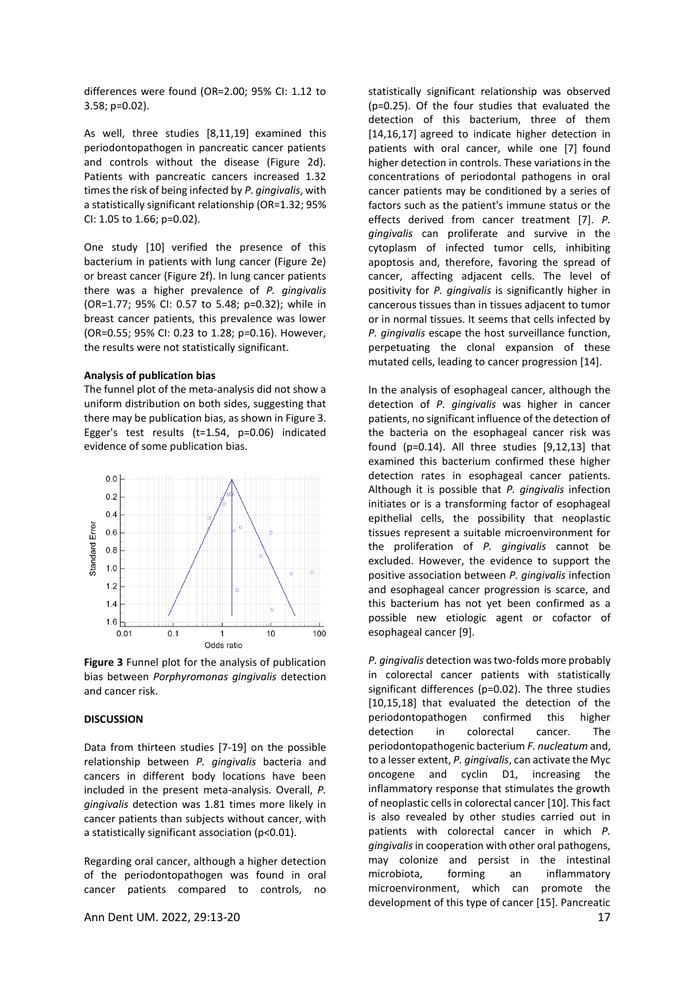differences were found (OR=2.00; 95% CI: 1.12 to 3.58; p=0.02).

As well, three studies [8,11,19] examined this periodontopathogen in pancreatic cancer patients and controls without the disease (Figure 2d). Patients with pancreatic cancers increased 1.32 times the risk of being infected by *P. gingivalis*, with a statistically significant relationship (OR=1.32; 95% CI: 1.05 to 1.66; p=0.02).

One study [10] verified the presence of this bacterium in patients with lung cancer (Figure 2e) or breast cancer (Figure 2f). In lung cancer patients there was a higher prevalence of *P. gingivalis* (OR=1.77; 95% CI: 0.57 to 5.48; p=0.32); while in breast cancer patients, this prevalence was lower (OR=0.55; 95% CI: 0.23 to 1.28; p=0.16). However, the results were not statistically significant.

#### **Analysis of publication bias**

The funnel plot of the meta-analysis did not show a uniform distribution on both sides, suggesting that there may be publication bias, as shown in Figure 3. Egger's test results (t=1.54, p=0.06) indicated evidence of some publication bias.



**Figure 3** Funnel plot for the analysis of publication bias between *Porphyromonas gingivalis* detection and cancer risk.

## **DISCUSSION**

Data from thirteen studies [7-19] on the possible relationship between *P. gingivalis* bacteria and cancers in different body locations have been included in the present meta-analysis. Overall, *P. gingivalis* detection was 1.81 times more likely in cancer patients than subjects without cancer, with a statistically significant association (p<0.01).

Regarding oral cancer, although a higher detection of the periodontopathogen was found in oral cancer patients compared to controls, no

Ann Dent UM. 2022, 29:13-20 17

statistically significant relationship was observed (p=0.25). Of the four studies that evaluated the detection of this bacterium, three of them [14,16,17] agreed to indicate higher detection in patients with oral cancer, while one [7] found higher detection in controls. These variations in the concentrations of periodontal pathogens in oral cancer patients may be conditioned by a series of factors such as the patient's immune status or the effects derived from cancer treatment [7]. *P. gingivalis* can proliferate and survive in the cytoplasm of infected tumor cells, inhibiting apoptosis and, therefore, favoring the spread of cancer, affecting adjacent cells. The level of positivity for *P. gingivalis* is significantly higher in cancerous tissues than in tissues adjacent to tumor or in normal tissues. It seems that cells infected by *P. gingivalis* escape the host surveillance function, perpetuating the clonal expansion of these mutated cells, leading to cancer progression [14].

In the analysis of esophageal cancer, although the detection of *P. gingivalis* was higher in cancer patients, no significant influence of the detection of the bacteria on the esophageal cancer risk was found (p=0.14). All three studies [9,12,13] that examined this bacterium confirmed these higher detection rates in esophageal cancer patients. Although it is possible that *P. gingivalis* infection initiates or is a transforming factor of esophageal epithelial cells, the possibility that neoplastic tissues represent a suitable microenvironment for the proliferation of *P. gingivalis* cannot be excluded. However, the evidence to support the positive association between *P. gingivalis* infection and esophageal cancer progression is scarce, and this bacterium has not yet been confirmed as a possible new etiologic agent or cofactor of esophageal cancer [9].

*P. gingivalis* detection was two-folds more probably in colorectal cancer patients with statistically significant differences (p=0.02). The three studies [10,15,18] that evaluated the detection of the periodontopathogen confirmed this higher detection in colorectal cancer. The periodontopathogenic bacterium *F. nucleatum* and, to a lesser extent, *P. gingivalis*, can activate the Myc oncogene and cyclin D1, increasing the inflammatory response that stimulates the growth of neoplastic cells in colorectal cancer [10]. This fact is also revealed by other studies carried out in patients with colorectal cancer in which *P. gingivalis*in cooperation with other oral pathogens, may colonize and persist in the intestinal microbiota, forming an inflammatory microenvironment, which can promote the development of this type of cancer [15]. Pancreatic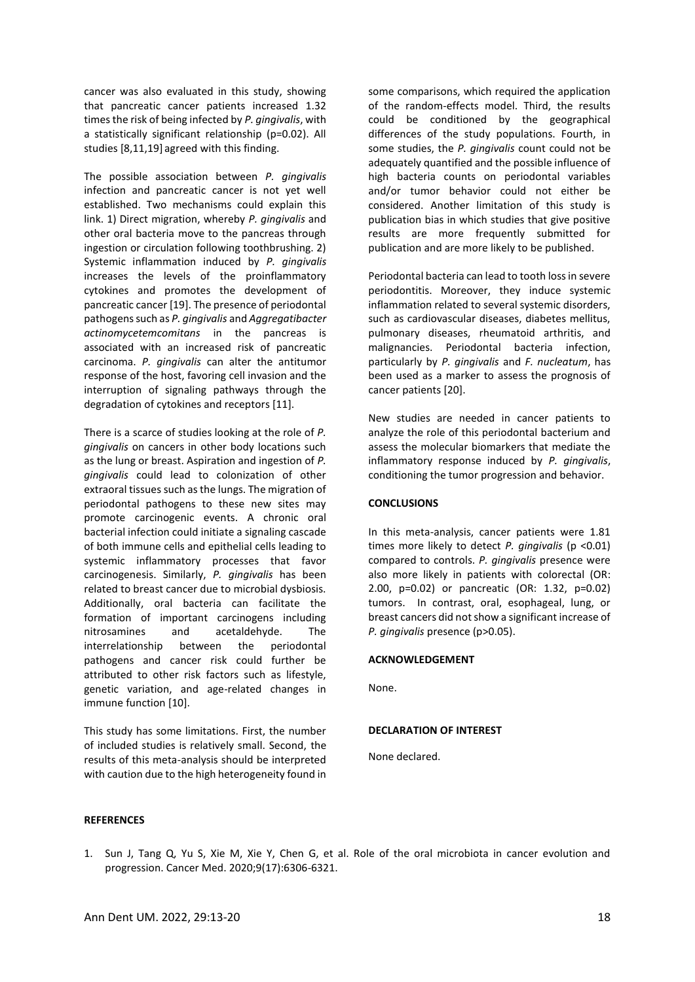cancer was also evaluated in this study, showing that pancreatic cancer patients increased 1.32 times the risk of being infected by *P. gingivalis*, with a statistically significant relationship (p=0.02). All studies [8,11,19] agreed with this finding.

The possible association between *P. gingivalis* infection and pancreatic cancer is not yet well established. Two mechanisms could explain this link. 1) Direct migration, whereby *P. gingivalis* and other oral bacteria move to the pancreas through ingestion or circulation following toothbrushing. 2) Systemic inflammation induced by *P. gingivalis* increases the levels of the proinflammatory cytokines and promotes the development of pancreatic cancer [19]. The presence of periodontal pathogens such as *P. gingivalis* and *Aggregatibacter actinomycetemcomitans* in the pancreas is associated with an increased risk of pancreatic carcinoma. *P. gingivalis* can alter the antitumor response of the host, favoring cell invasion and the interruption of signaling pathways through the degradation of cytokines and receptors [11].

There is a scarce of studies looking at the role of *P. gingivalis* on cancers in other body locations such as the lung or breast. Aspiration and ingestion of *P. gingivalis* could lead to colonization of other extraoral tissues such as the lungs. The migration of periodontal pathogens to these new sites may promote carcinogenic events. A chronic oral bacterial infection could initiate a signaling cascade of both immune cells and epithelial cells leading to systemic inflammatory processes that favor carcinogenesis. Similarly, *P. gingivalis* has been related to breast cancer due to microbial dysbiosis. Additionally, oral bacteria can facilitate the formation of important carcinogens including nitrosamines and acetaldehyde. The interrelationship between the periodontal pathogens and cancer risk could further be attributed to other risk factors such as lifestyle, genetic variation, and age-related changes in immune function [10].

This study has some limitations. First, the number of included studies is relatively small. Second, the results of this meta-analysis should be interpreted with caution due to the high heterogeneity found in

some comparisons, which required the application of the random-effects model. Third, the results could be conditioned by the geographical differences of the study populations. Fourth, in some studies, the *P. gingivalis* count could not be adequately quantified and the possible influence of high bacteria counts on periodontal variables and/or tumor behavior could not either be considered. Another limitation of this study is publication bias in which studies that give positive results are more frequently submitted for publication and are more likely to be published.

Periodontal bacteria can lead to tooth loss in severe periodontitis. Moreover, they induce systemic inflammation related to several systemic disorders, such as cardiovascular diseases, diabetes mellitus, pulmonary diseases, rheumatoid arthritis, and malignancies. Periodontal bacteria infection, particularly by *P. gingivalis* and *F. nucleatum*, has been used as a marker to assess the prognosis of cancer patients [20].

New studies are needed in cancer patients to analyze the role of this periodontal bacterium and assess the molecular biomarkers that mediate the inflammatory response induced by *P. gingivalis*, conditioning the tumor progression and behavior.

## **CONCLUSIONS**

In this meta-analysis, cancer patients were 1.81 times more likely to detect *P. gingivalis* (p <0.01) compared to controls. *P. gingivalis* presence were also more likely in patients with colorectal (OR: 2.00, p=0.02) or pancreatic (OR: 1.32, p=0.02) tumors. In contrast, oral, esophageal, lung, or breast cancers did not show a significant increase of *P. gingivalis* presence (p>0.05).

## **ACKNOWLEDGEMENT**

None.

#### **DECLARATION OF INTEREST**

None declared.

#### **REFERENCES**

1. Sun J, Tang Q, Yu S, Xie M, Xie Y, Chen G, et al. Role of the oral microbiota in cancer evolution and progression. Cancer Med. 2020;9(17):6306-6321.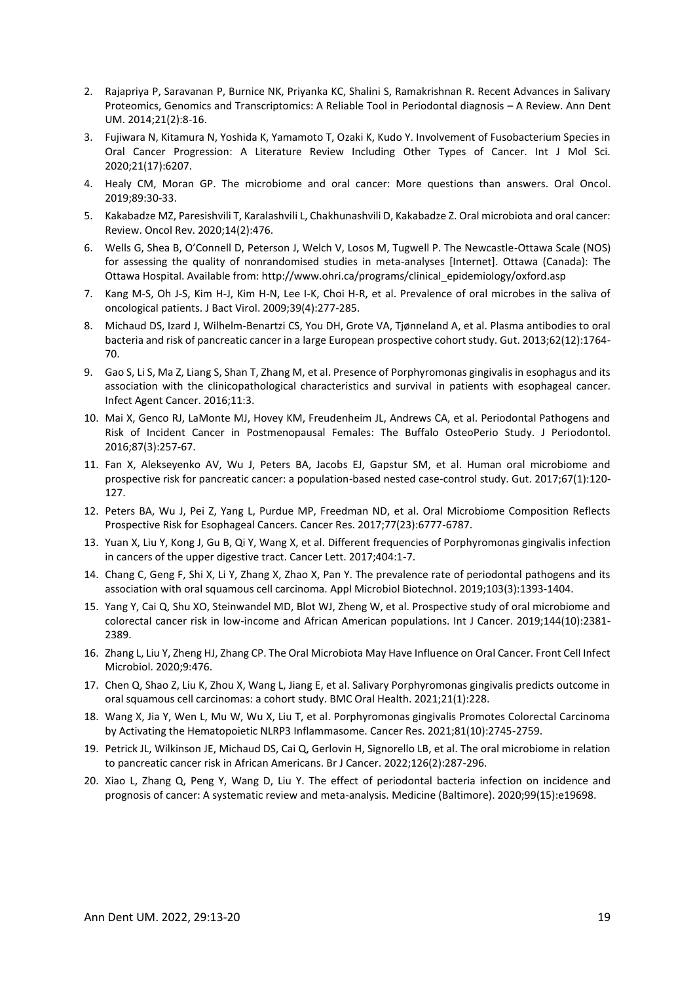- 2. Rajapriya P, Saravanan P, Burnice NK, Priyanka KC, Shalini S, Ramakrishnan R. Recent Advances in Salivary Proteomics, Genomics and Transcriptomics: A Reliable Tool in Periodontal diagnosis – A Review. Ann Dent UM. 2014;21(2):8-16.
- 3. Fujiwara N, Kitamura N, Yoshida K, Yamamoto T, Ozaki K, Kudo Y. Involvement of Fusobacterium Species in Oral Cancer Progression: A Literature Review Including Other Types of Cancer. Int J Mol Sci. 2020;21(17):6207.
- 4. Healy CM, Moran GP. The microbiome and oral cancer: More questions than answers. Oral Oncol. 2019;89:30-33.
- 5. Kakabadze MZ, Paresishvili T, Karalashvili L, Chakhunashvili D, Kakabadze Z. Oral microbiota and oral cancer: Review. Oncol Rev. 2020;14(2):476.
- 6. Wells G, Shea B, O'Connell D, Peterson J, Welch V, Losos M, Tugwell P. The Newcastle-Ottawa Scale (NOS) for assessing the quality of nonrandomised studies in meta-analyses [Internet]. Ottawa (Canada): The Ottawa Hospital. Available from: http://www.ohri.ca/programs/clinical\_epidemiology/oxford.asp
- 7. Kang M-S, Oh J-S, Kim H-J, Kim H-N, Lee I-K, Choi H-R, et al. Prevalence of oral microbes in the saliva of oncological patients. J Bact Virol. 2009;39(4):277-285.
- 8. Michaud DS, Izard J, Wilhelm-Benartzi CS, You DH, Grote VA, Tjønneland A, et al. Plasma antibodies to oral bacteria and risk of pancreatic cancer in a large European prospective cohort study. Gut. 2013;62(12):1764- 70.
- 9. Gao S, Li S, Ma Z, Liang S, Shan T, Zhang M, et al. Presence of Porphyromonas gingivalis in esophagus and its association with the clinicopathological characteristics and survival in patients with esophageal cancer. Infect Agent Cancer. 2016;11:3.
- 10. Mai X, Genco RJ, LaMonte MJ, Hovey KM, Freudenheim JL, Andrews CA, et al. Periodontal Pathogens and Risk of Incident Cancer in Postmenopausal Females: The Buffalo OsteoPerio Study. J Periodontol. 2016;87(3):257-67.
- 11. Fan X, Alekseyenko AV, Wu J, Peters BA, Jacobs EJ, Gapstur SM, et al. Human oral microbiome and prospective risk for pancreatic cancer: a population-based nested case-control study. Gut. 2017;67(1):120- 127.
- 12. Peters BA, Wu J, Pei Z, Yang L, Purdue MP, Freedman ND, et al. Oral Microbiome Composition Reflects Prospective Risk for Esophageal Cancers. Cancer Res. 2017;77(23):6777-6787.
- 13. Yuan X, Liu Y, Kong J, Gu B, Qi Y, Wang X, et al. Different frequencies of Porphyromonas gingivalis infection in cancers of the upper digestive tract. Cancer Lett. 2017;404:1-7.
- 14. Chang C, Geng F, Shi X, Li Y, Zhang X, Zhao X, Pan Y. The prevalence rate of periodontal pathogens and its association with oral squamous cell carcinoma. Appl Microbiol Biotechnol. 2019;103(3):1393-1404.
- 15. Yang Y, Cai Q, Shu XO, Steinwandel MD, Blot WJ, Zheng W, et al. Prospective study of oral microbiome and colorectal cancer risk in low-income and African American populations. Int J Cancer. 2019;144(10):2381- 2389.
- 16. Zhang L, Liu Y, Zheng HJ, Zhang CP. The Oral Microbiota May Have Influence on Oral Cancer. Front Cell Infect Microbiol. 2020;9:476.
- 17. Chen Q, Shao Z, Liu K, Zhou X, Wang L, Jiang E, et al. Salivary Porphyromonas gingivalis predicts outcome in oral squamous cell carcinomas: a cohort study. BMC Oral Health. 2021;21(1):228.
- 18. Wang X, Jia Y, Wen L, Mu W, Wu X, Liu T, et al. Porphyromonas gingivalis Promotes Colorectal Carcinoma by Activating the Hematopoietic NLRP3 Inflammasome. Cancer Res. 2021;81(10):2745-2759.
- 19. Petrick JL, Wilkinson JE, Michaud DS, Cai Q, Gerlovin H, Signorello LB, et al. The oral microbiome in relation to pancreatic cancer risk in African Americans. Br J Cancer. 2022;126(2):287-296.
- 20. Xiao L, Zhang Q, Peng Y, Wang D, Liu Y. The effect of periodontal bacteria infection on incidence and prognosis of cancer: A systematic review and meta-analysis. Medicine (Baltimore). 2020;99(15):e19698.